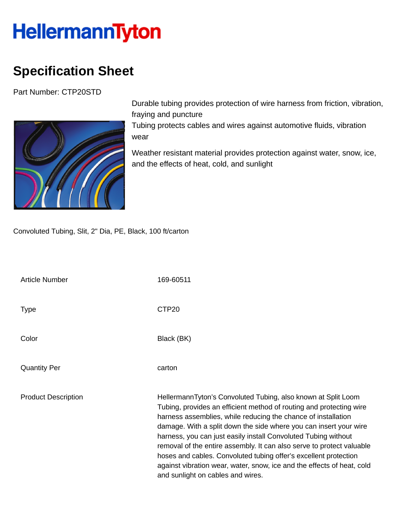## **HellermannTyton**

## **Specification Sheet**

Part Number: CTP20STD



Durable tubing provides protection of wire harness from friction, vibration, fraying and puncture

Tubing protects cables and wires against automotive fluids, vibration wear

Weather resistant material provides protection against water, snow, ice, and the effects of heat, cold, and sunlight

Convoluted Tubing, Slit, 2" Dia, PE, Black, 100 ft/carton

| <b>Article Number</b>      | 169-60511                                                                                                                                                                                                                                                                                                                                                                                                                                                                                                                                                                                                |
|----------------------------|----------------------------------------------------------------------------------------------------------------------------------------------------------------------------------------------------------------------------------------------------------------------------------------------------------------------------------------------------------------------------------------------------------------------------------------------------------------------------------------------------------------------------------------------------------------------------------------------------------|
| <b>Type</b>                | CTP <sub>20</sub>                                                                                                                                                                                                                                                                                                                                                                                                                                                                                                                                                                                        |
| Color                      | Black (BK)                                                                                                                                                                                                                                                                                                                                                                                                                                                                                                                                                                                               |
| <b>Quantity Per</b>        | carton                                                                                                                                                                                                                                                                                                                                                                                                                                                                                                                                                                                                   |
| <b>Product Description</b> | HellermannTyton's Convoluted Tubing, also known at Split Loom<br>Tubing, provides an efficient method of routing and protecting wire<br>harness assemblies, while reducing the chance of installation<br>damage. With a split down the side where you can insert your wire<br>harness, you can just easily install Convoluted Tubing without<br>removal of the entire assembly. It can also serve to protect valuable<br>hoses and cables. Convoluted tubing offer's excellent protection<br>against vibration wear, water, snow, ice and the effects of heat, cold<br>and sunlight on cables and wires. |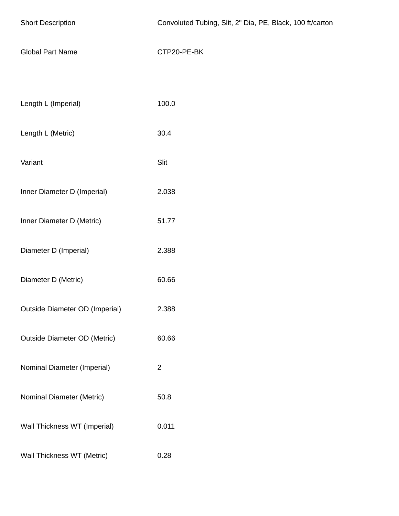| <b>Short Description</b>            | Convoluted Tubing, Slit, 2" Dia, PE, Black, 100 ft/carton |  |  |
|-------------------------------------|-----------------------------------------------------------|--|--|
| <b>Global Part Name</b>             | CTP20-PE-BK                                               |  |  |
|                                     |                                                           |  |  |
| Length L (Imperial)                 | 100.0                                                     |  |  |
| Length L (Metric)                   | 30.4                                                      |  |  |
| Variant                             | Slit                                                      |  |  |
| Inner Diameter D (Imperial)         | 2.038                                                     |  |  |
| Inner Diameter D (Metric)           | 51.77                                                     |  |  |
| Diameter D (Imperial)               | 2.388                                                     |  |  |
| Diameter D (Metric)                 | 60.66                                                     |  |  |
| Outside Diameter OD (Imperial)      | 2.388                                                     |  |  |
| <b>Outside Diameter OD (Metric)</b> | 60.66                                                     |  |  |
| Nominal Diameter (Imperial)         | $\overline{2}$                                            |  |  |
| Nominal Diameter (Metric)           | 50.8                                                      |  |  |
| Wall Thickness WT (Imperial)        | 0.011                                                     |  |  |
| Wall Thickness WT (Metric)          | 0.28                                                      |  |  |